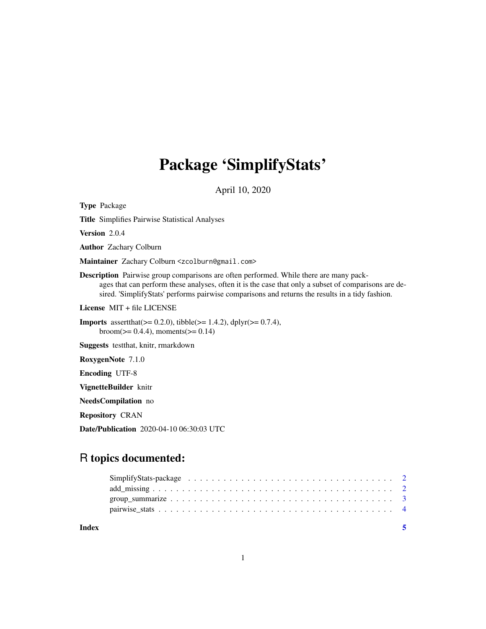## Package 'SimplifyStats'

April 10, 2020

Type Package

Title Simplifies Pairwise Statistical Analyses

Version 2.0.4

Author Zachary Colburn

Maintainer Zachary Colburn <zcolburn@gmail.com>

Description Pairwise group comparisons are often performed. While there are many packages that can perform these analyses, often it is the case that only a subset of comparisons are desired. 'SimplifyStats' performs pairwise comparisons and returns the results in a tidy fashion.

License MIT + file LICENSE

**Imports** assert that  $(>= 0.2.0)$ , tibble  $(>= 1.4.2)$ , dplyr  $(>= 0.7.4)$ , broom( $>= 0.4.4$ ), moments( $>= 0.14$ )

Suggests testthat, knitr, rmarkdown

RoxygenNote 7.1.0

Encoding UTF-8

VignetteBuilder knitr

NeedsCompilation no

Repository CRAN

Date/Publication 2020-04-10 06:30:03 UTC

### R topics documented:

| Index |  |  |
|-------|--|--|
|       |  |  |
|       |  |  |
|       |  |  |
|       |  |  |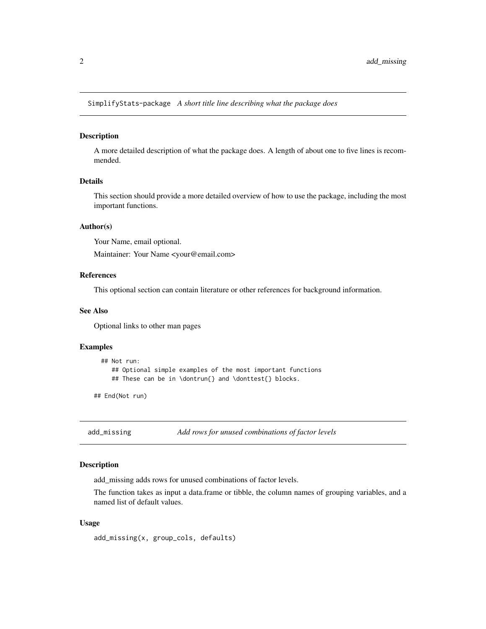<span id="page-1-0"></span>SimplifyStats-package *A short title line describing what the package does*

#### Description

A more detailed description of what the package does. A length of about one to five lines is recommended.

#### Details

This section should provide a more detailed overview of how to use the package, including the most important functions.

#### Author(s)

Your Name, email optional.

Maintainer: Your Name <your@email.com>

#### References

This optional section can contain literature or other references for background information.

#### See Also

Optional links to other man pages

#### Examples

```
## Not run:
   ## Optional simple examples of the most important functions
   ## These can be in \dontrun{} and \donttest{} blocks.
```
## End(Not run)

add\_missing *Add rows for unused combinations of factor levels*

#### Description

add\_missing adds rows for unused combinations of factor levels.

The function takes as input a data.frame or tibble, the column names of grouping variables, and a named list of default values.

#### Usage

add\_missing(x, group\_cols, defaults)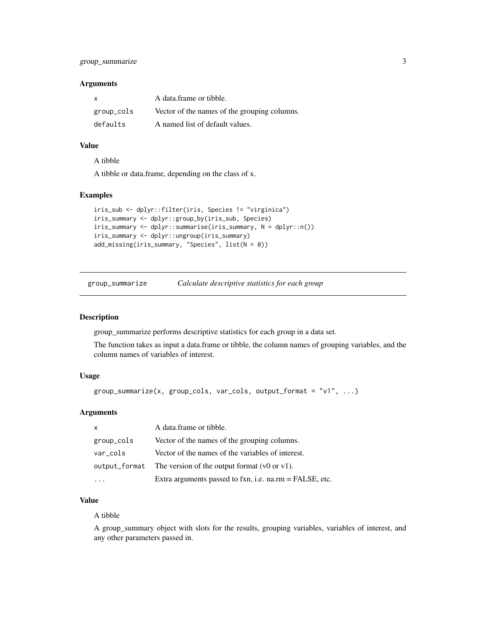#### <span id="page-2-0"></span>Arguments

| X          | A data frame or tibble.                      |
|------------|----------------------------------------------|
| group_cols | Vector of the names of the grouping columns. |
| defaults   | A named list of default values.              |

#### Value

A tibble

A tibble or data.frame, depending on the class of x.

#### Examples

```
iris_sub <- dplyr::filter(iris, Species != "virginica")
iris_summary <- dplyr::group_by(iris_sub, Species)
iris_summary <- dplyr::summarise(iris_summary, N = dplyr::n())
iris_summary <- dplyr::ungroup(iris_summary)
add_missing(iris_summary, "Species", list(N = 0))
```
group\_summarize *Calculate descriptive statistics for each group*

#### Description

group\_summarize performs descriptive statistics for each group in a data set.

The function takes as input a data.frame or tibble, the column names of grouping variables, and the column names of variables of interest.

#### Usage

```
group\_summize(x, group\_cols, var\_cols, output\_format = "v1", ...)
```
#### Arguments

| $\mathsf{x}$ | A data.frame or tibble.                                                |
|--------------|------------------------------------------------------------------------|
| group_cols   | Vector of the names of the grouping columns.                           |
| var_cols     | Vector of the names of the variables of interest.                      |
|              | output_format The version of the output format $(v0 \text{ or } v1)$ . |
|              | Extra arguments passed to fxn, i.e. na.rm = FALSE, etc.                |

#### Value

#### A tibble

A group\_summary object with slots for the results, grouping variables, variables of interest, and any other parameters passed in.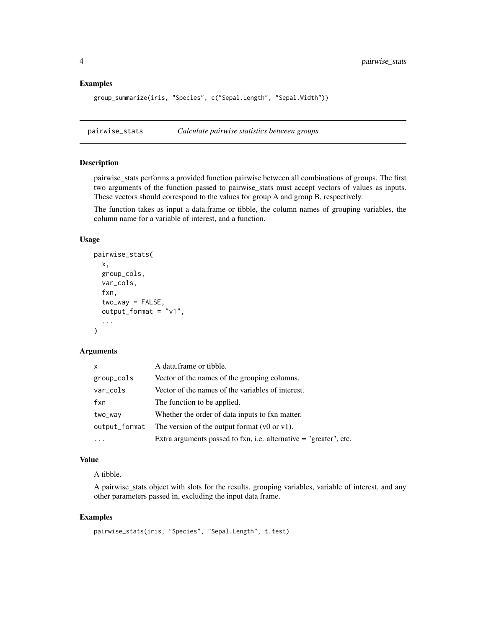#### Examples

```
group_summarize(iris, "Species", c("Sepal.Length", "Sepal.Width"))
```
pairwise\_stats *Calculate pairwise statistics between groups*

#### Description

pairwise\_stats performs a provided function pairwise between all combinations of groups. The first two arguments of the function passed to pairwise\_stats must accept vectors of values as inputs. These vectors should correspond to the values for group A and group B, respectively.

The function takes as input a data.frame or tibble, the column names of grouping variables, the column name for a variable of interest, and a function.

#### Usage

```
pairwise_stats(
  x,
  group_cols,
  var_cols,
  fxn,
  two_{way} = FALSE,
  output_{format} = "v1",...
\mathcal{L}
```
#### Arguments

| $\mathsf{x}$  | A data frame or tibble.                                             |
|---------------|---------------------------------------------------------------------|
| group_cols    | Vector of the names of the grouping columns.                        |
| var_cols      | Vector of the names of the variables of interest.                   |
| fxn           | The function to be applied.                                         |
| two_way       | Whether the order of data inputs to fxn matter.                     |
| output_format | The version of the output format $(v0 \text{ or } v1)$ .            |
|               | Extra arguments passed to fxn, i.e. alternative $=$ "greater", etc. |

#### Value

A tibble.

A pairwise\_stats object with slots for the results, grouping variables, variable of interest, and any other parameters passed in, excluding the input data frame.

#### Examples

```
pairwise_stats(iris, "Species", "Sepal.Length", t.test)
```
<span id="page-3-0"></span>